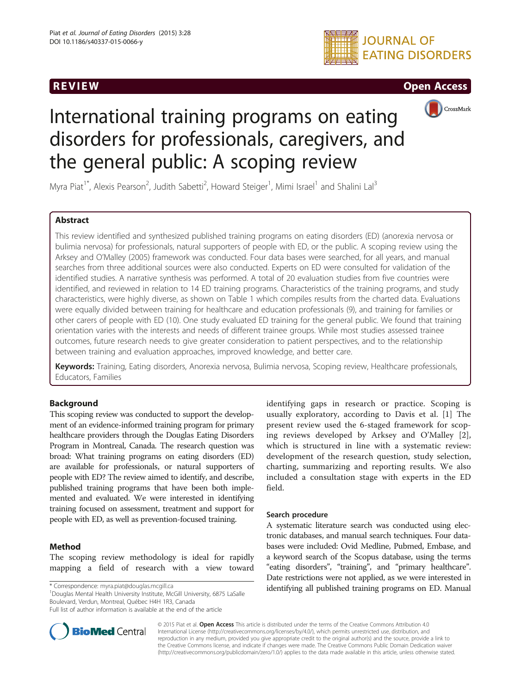

# **REVIEW CONSIDERING CONSIDERING CONSIDERING CONSIDERING CONSIDERING CONSIDERING CONSIDERING CONSIDERING CONSIDERING CONSIDERING CONSIDERING CONSIDERING CONSIDERING CONSIDERING CONSIDERING CONSIDERING CONSIDERING CONSIDER**



# International training programs on eating disorders for professionals, caregivers, and the general public: A scoping review

Myra Piat<sup>1\*</sup>, Alexis Pearson<sup>2</sup>, Judith Sabetti<sup>2</sup>, Howard Steiger<sup>1</sup>, Mimi Israel<sup>1</sup> and Shalini Lal<sup>3</sup>

# Abstract

This review identified and synthesized published training programs on eating disorders (ED) (anorexia nervosa or bulimia nervosa) for professionals, natural supporters of people with ED, or the public. A scoping review using the Arksey and O'Malley (2005) framework was conducted. Four data bases were searched, for all years, and manual searches from three additional sources were also conducted. Experts on ED were consulted for validation of the identified studies. A narrative synthesis was performed. A total of 20 evaluation studies from five countries were identified, and reviewed in relation to 14 ED training programs. Characteristics of the training programs, and study characteristics, were highly diverse, as shown on Table [1](#page-1-0) which compiles results from the charted data. Evaluations were equally divided between training for healthcare and education professionals (9), and training for families or other carers of people with ED (10). One study evaluated ED training for the general public. We found that training orientation varies with the interests and needs of different trainee groups. While most studies assessed trainee outcomes, future research needs to give greater consideration to patient perspectives, and to the relationship between training and evaluation approaches, improved knowledge, and better care.

Keywords: Training, Eating disorders, Anorexia nervosa, Bulimia nervosa, Scoping review, Healthcare professionals, Educators, Families

# Background

This scoping review was conducted to support the development of an evidence-informed training program for primary healthcare providers through the Douglas Eating Disorders Program in Montreal, Canada. The research question was broad: What training programs on eating disorders (ED) are available for professionals, or natural supporters of people with ED? The review aimed to identify, and describe, published training programs that have been both implemented and evaluated. We were interested in identifying training focused on assessment, treatment and support for people with ED, as well as prevention-focused training.

# Method

The scoping review methodology is ideal for rapidly mapping a field of research with a view toward

<sup>1</sup>Douglas Mental Health University Institute, McGill University, 6875 LaSalle Boulevard, Verdun, Montreal, Québec H4H 1R3, Canada



# Search procedure

A systematic literature search was conducted using electronic databases, and manual search techniques. Four databases were included: Ovid Medline, Pubmed, Embase, and a keyword search of the Scopus database, using the terms "eating disorders", "training", and "primary healthcare". Date restrictions were not applied, as we were interested in \* Correspondence: [myra.piat@douglas.mcgill.ca](mailto:myra.piat@douglas.mcgill.ca) **identifying all published training programs on ED. Manual** 



© 2015 Piat et al. Open Access This article is distributed under the terms of the Creative Commons Attribution 4.0 International License [\(http://creativecommons.org/licenses/by/4.0/](http://creativecommons.org/licenses/by/4.0/)), which permits unrestricted use, distribution, and reproduction in any medium, provided you give appropriate credit to the original author(s) and the source, provide a link to the Creative Commons license, and indicate if changes were made. The Creative Commons Public Domain Dedication waiver [\(http://creativecommons.org/publicdomain/zero/1.0/](http://creativecommons.org/publicdomain/zero/1.0/)) applies to the data made available in this article, unless otherwise stated.

Full list of author information is available at the end of the article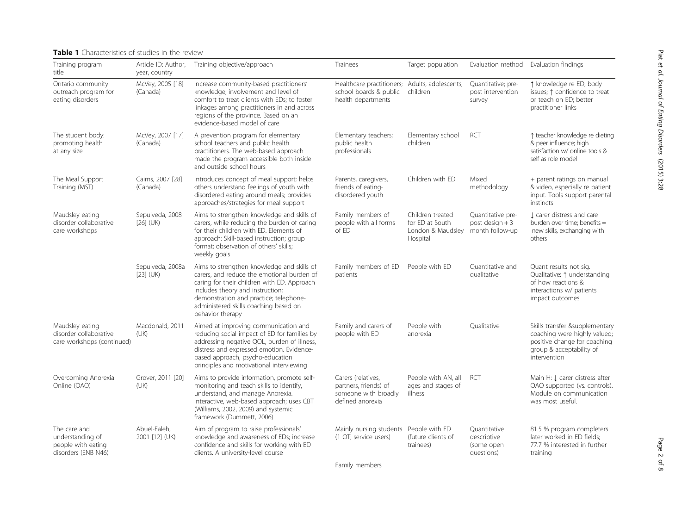# <span id="page-1-0"></span>Table 1 Characteristics of studies in the review

| Training program<br>title                                                     | Article ID: Author,<br>year, country | Training objective/approach                                                                                                                                                                                                                                                        | Trainees                                                                                       | Target population                                                    |                                                          | Evaluation method Evaluation findings                                                                                                      |
|-------------------------------------------------------------------------------|--------------------------------------|------------------------------------------------------------------------------------------------------------------------------------------------------------------------------------------------------------------------------------------------------------------------------------|------------------------------------------------------------------------------------------------|----------------------------------------------------------------------|----------------------------------------------------------|--------------------------------------------------------------------------------------------------------------------------------------------|
| Ontario community<br>outreach program for<br>eating disorders                 | McVey, 2005 [18]<br>(Canada)         | Increase community-based practitioners'<br>knowledge, involvement and level of<br>comfort to treat clients with EDs; to foster<br>linkages among practitioners in and across<br>regions of the province. Based on an<br>evidence-based model of care                               | Healthcare practitioners; Adults, adolescents,<br>school boards & public<br>health departments | children                                                             | Quantitative; pre-<br>post intervention<br>survey        | ↑ knowledge re ED, body<br>issues; ↑ confidence to treat<br>or teach on ED; better<br>practitioner links                                   |
| The student body:<br>promoting health<br>at any size                          | McVey, 2007 [17]<br>(Canada)         | A prevention program for elementary<br>school teachers and public health<br>practitioners. The web-based approach<br>made the program accessible both inside<br>and outside school hours                                                                                           | Elementary teachers;<br>public health<br>professionals                                         | Elementary school<br>children                                        | RCT                                                      | ↑ teacher knowledge re dieting<br>& peer influence; high<br>satisfaction w/ online tools &<br>self as role model                           |
| The Meal Support<br>Training (MST)                                            | Cairns, 2007 [28]<br>(Canada)        | Introduces concept of meal support; helps<br>others understand feelings of youth with<br>disordered eating around meals; provides<br>approaches/strategies for meal support                                                                                                        | Parents, caregivers,<br>friends of eating-<br>disordered youth                                 | Children with ED                                                     | Mixed<br>methodology                                     | + parent ratings on manual<br>& video, especially re patient<br>input. Tools support parental<br>instincts                                 |
| Maudsley eating<br>disorder collaborative<br>care workshops                   | Sepulveda, 2008<br>$[26]$ (UK)       | Aims to strengthen knowledge and skills of<br>carers, while reducing the burden of caring<br>for their children with ED. Elements of<br>approach: Skill-based instruction; group<br>format; observation of others' skills;<br>weekly goals                                         | Family members of<br>people with all forms<br>of ED                                            | Children treated<br>for ED at South<br>London & Maudsley<br>Hospital | Quantitative pre-<br>post design $+3$<br>month follow-up | I carer distress and care<br>burden over time; benefits =<br>new skills, exchanging with<br>others                                         |
|                                                                               | Sepulveda, 2008a<br>$[23]$ (UK)      | Aims to strengthen knowledge and skills of<br>carers, and reduce the emotional burden of<br>caring for their children with ED. Approach<br>includes theory and instruction;<br>demonstration and practice; telephone-<br>administered skills coaching based on<br>behavior therapy | Family members of ED<br>patients                                                               | People with ED                                                       | Quantitative and<br>qualitative                          | Quant results not sig.<br>Qualitative: 1 understanding<br>of how reactions &<br>interactions w/ patients<br>impact outcomes.               |
| Maudsley eating<br>disorder collaborative<br>care workshops (continued)       | Macdonald, 2011<br>(UK)              | Aimed at improving communication and<br>reducing social impact of ED for families by<br>addressing negative QOL, burden of illness,<br>distress and expressed emotion. Evidence-<br>based approach, psycho-education<br>principles and motivational interviewing                   | Family and carers of<br>people with ED                                                         | People with<br>anorexia                                              | Qualitative                                              | Skills transfer &supplementary<br>coaching were highly valued;<br>positive change for coaching<br>group & acceptability of<br>intervention |
| Overcoming Anorexia<br>Online (OAO)                                           | Grover, 2011 [20]<br>(UK)            | Aims to provide information, promote self-<br>monitoring and teach skills to identify,<br>understand, and manage Anorexia.<br>Interactive, web-based approach; uses CBT<br>(Williams, 2002, 2009) and systemic<br>framework (Dummett, 2006)                                        | Carers (relatives,<br>partners, friends) of<br>someone with broadly<br>defined anorexia        | People with AN, all<br>ages and stages of<br>illness                 | RCT                                                      | Main H: Į carer distress after<br>OAO supported (vs. controls).<br>Module on communication<br>was most useful.                             |
| The care and<br>understanding of<br>people with eating<br>disorders (ENB N46) | Abuel-Ealeh,<br>2001 [12] (UK)       | Aim of program to raise professionals'<br>knowledge and awareness of EDs; increase<br>confidence and skills for working with ED<br>clients. A university-level course                                                                                                              | Mainly nursing students People with ED<br>(1 OT; service users)                                | (future clients of<br>trainees)                                      | Quantitative<br>descriptive<br>(some open<br>questions)  | 81.5 % program completers<br>later worked in ED fields;<br>77.7 % interested in further<br>training                                        |

Family members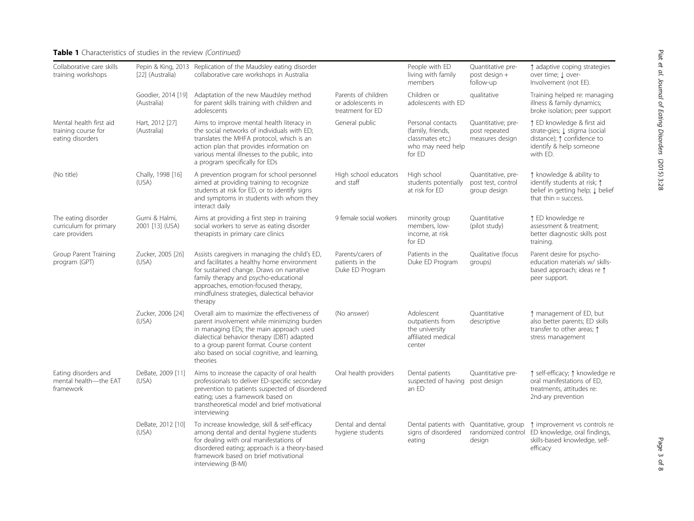# Table 1 Characteristics of studies in the review (Continued)

| Collaborative care skills<br>training workshops                    | [22] (Australia)                  | Pepin & King, 2013 Replication of the Maudsley eating disorder<br>collaborative care workshops in Australia                                                                                                                                                                                  |                                                              | People with ED<br>living with family<br>members                                           | Quantitative pre-<br>post design +<br>follow-up          | ↑ adaptive coping strategies<br>over time; J over-<br>Involvement (not EE).                                                      |
|--------------------------------------------------------------------|-----------------------------------|----------------------------------------------------------------------------------------------------------------------------------------------------------------------------------------------------------------------------------------------------------------------------------------------|--------------------------------------------------------------|-------------------------------------------------------------------------------------------|----------------------------------------------------------|----------------------------------------------------------------------------------------------------------------------------------|
|                                                                    | Goodier, 2014 [19]<br>(Australia) | Adaptation of the new Maudsley method<br>for parent skills training with children and<br>adolescents                                                                                                                                                                                         | Parents of children<br>or adolescents in<br>treatment for ED | Children or<br>adolescents with ED                                                        | qualitative                                              | Training helped re: managing<br>illness & family dynamics;<br>broke isolation; peer support                                      |
| Mental health first aid<br>training course for<br>eating disorders | Hart, 2012 [27]<br>(Australia)    | Aims to improve mental health literacy in<br>the social networks of individuals with ED;<br>translates the MHFA protocol, which is an<br>action plan that provides information on<br>various mental illnesses to the public, into<br>a program specifically for EDs                          | General public                                               | Personal contacts<br>(family, friends,<br>classmates etc.)<br>who may need help<br>for ED | Quantitative; pre-<br>post repeated<br>measures design   | ↑ ED knowledge & first aid<br>strate-gies; Į stigma (social<br>distance); ↑ confidence to<br>identify & help someone<br>with ED. |
| (No title)                                                         | Chally, 1998 [16]<br>(USA)        | A prevention program for school personnel<br>aimed at providing training to recognize<br>students at risk for ED, or to identify signs<br>and symptoms in students with whom they<br>interact daily                                                                                          | High school educators<br>and staff                           | High school<br>students potentially<br>at risk for ED                                     | Quantitative, pre-<br>post test, control<br>group design | ↑ knowledge & ability to<br>identify students at risk; 1<br>belief in getting help; I belief<br>that thin $=$ success.           |
| The eating disorder<br>curriculum for primary<br>care providers    | Gurni & Halmi,<br>2001 [13] (USA) | Aims at providing a first step in training<br>social workers to serve as eating disorder<br>therapists in primary care clinics                                                                                                                                                               | 9 female social workers                                      | minority group<br>members, low-<br>income, at risk<br>for ED                              | Quantitative<br>(pilot study)                            | ↑ ED knowledge re<br>assessment & treatment;<br>better diagnostic skills post<br>training.                                       |
| Group Parent Training<br>program (GPT)                             | Zucker, 2005 [26]<br>(USA)        | Assists caregivers in managing the child's ED,<br>and facilitates a healthy home environment<br>for sustained change. Draws on narrative<br>family therapy and psycho-educational<br>approaches, emotion-focused therapy,<br>mindfulness strategies, dialectical behavior<br>therapy         | Parents/carers of<br>patients in the<br>Duke ED Program      | Patients in the<br>Duke ED Program                                                        | Qualitative (focus<br>groups)                            | Parent desire for psycho-<br>education materials w/ skills-<br>based approach; ideas re 1<br>peer support.                       |
|                                                                    | Zucker, 2006 [24]<br>(USA)        | Overall aim to maximize the effectiveness of<br>parent involvement while minimizing burden<br>in managing EDs; the main approach used<br>dialectical behavior therapy (DBT) adapted<br>to a group parent format. Course content<br>also based on social cognitive, and learning,<br>theories | (No answer)                                                  | Adolescent<br>outpatients from<br>the university<br>affiliated medical<br>center          | Quantitative<br>descriptive                              | ↑ management of ED, but<br>also better parents; ED skills<br>transfer to other areas; 1<br>stress management                     |
| Eating disorders and<br>mental health-the EAT<br>framework         | DeBate, 2009 [11]<br>(USA)        | Aims to increase the capacity of oral health<br>professionals to deliver ED-specific secondary<br>prevention to patients suspected of disordered<br>eating; uses a framework based on<br>transtheoretical model and brief motivational<br>interviewing                                       | Oral health providers                                        | Dental patients<br>suspected of having<br>an ED                                           | Quantitative pre-<br>post design                         | ↑ self-efficacy; ↑ knowledge re<br>oral manifestations of ED,<br>treatments, attitudes re:<br>2nd-ary prevention                 |
|                                                                    | DeBate, 2012 [10]<br>(USA)        | To increase knowledge, skill & self-efficacy<br>among dental and dental hygiene students<br>for dealing with oral manifestations of<br>disordered eating; approach is a theory-based<br>framework based on brief motivational<br>interviewing (B-MI)                                         | Dental and dental<br>hygiene students                        | signs of disordered<br>eating                                                             | Dental patients with Quantitative, group<br>design       | ↑ improvement vs controls re<br>randomized control ED knowledge, oral findings,<br>skills-based knowledge, self-<br>efficacy     |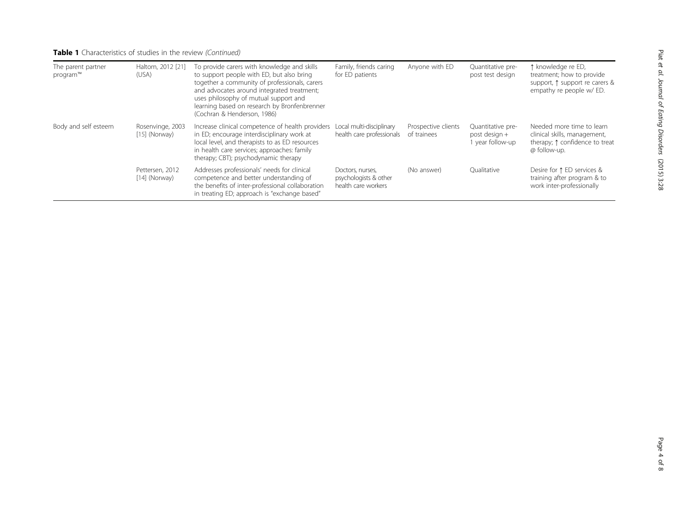# Table 1 Characteristics of studies in the review (Continued)

| The parent partner<br>program™ | Haltom, 2012 [21]<br>(USA)          | To provide carers with knowledge and skills<br>to support people with ED, but also bring<br>together a community of professionals, carers<br>and advocates around integrated treatment;<br>uses philosophy of mutual support and<br>learning based on research by Bronfenbrenner<br>(Cochran & Henderson, 1986) | Family, friends caring<br>for ED patients                        | Anyone with ED                     | Quantitative pre-<br>post test design                | ↑ knowledge re ED,<br>treatment; how to provide<br>support, $\uparrow$ support re carers &<br>empathy re people w/ ED. |
|--------------------------------|-------------------------------------|-----------------------------------------------------------------------------------------------------------------------------------------------------------------------------------------------------------------------------------------------------------------------------------------------------------------|------------------------------------------------------------------|------------------------------------|------------------------------------------------------|------------------------------------------------------------------------------------------------------------------------|
| Body and self esteem           | Rosenvinge, 2003<br>$[15]$ (Norway) | Increase clinical competence of health providers<br>in ED; encourage interdisciplinary work at<br>local level, and therapists to as ED resources<br>in health care services; approaches: family<br>therapy; CBT); psychodynamic therapy                                                                         | Local multi-disciplinary<br>health care professionals            | Prospective clients<br>of trainees | Quantitative pre-<br>post design +<br>vear follow-up | Needed more time to learn<br>clinical skills, management,<br>therapy; $\uparrow$ confidence to treat<br>@ follow-up.   |
|                                | Pettersen, 2012<br>$[14]$ (Norway)  | Addresses professionals' needs for clinical<br>competence and better understanding of<br>the benefits of inter-professional collaboration<br>in treating ED; approach is "exchange based"                                                                                                                       | Doctors, nurses,<br>psychologists & other<br>health care workers | (No answer)                        | Oualitative                                          | Desire for ↑ ED services &<br>training after program & to<br>work inter-professionally                                 |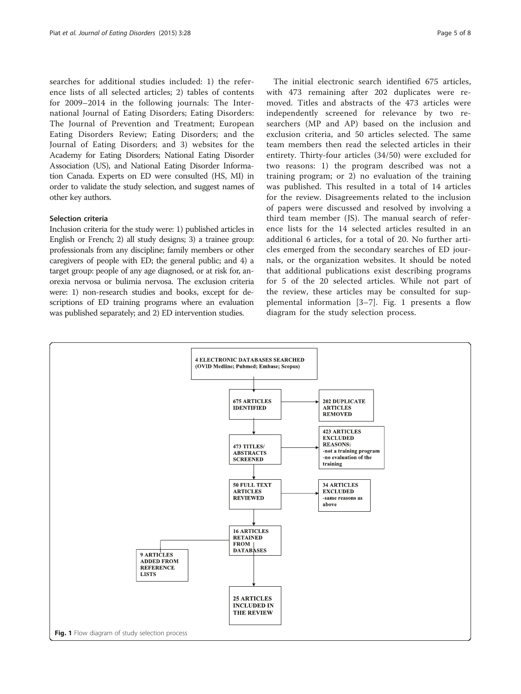searches for additional studies included: 1) the reference lists of all selected articles; 2) tables of contents for 2009–2014 in the following journals: The International Journal of Eating Disorders; Eating Disorders: The Journal of Prevention and Treatment; European Eating Disorders Review; Eating Disorders; and the Journal of Eating Disorders; and 3) websites for the Academy for Eating Disorders; National Eating Disorder Association (US), and National Eating Disorder Information Canada. Experts on ED were consulted (HS, MI) in order to validate the study selection, and suggest names of other key authors.

#### Selection criteria

Inclusion criteria for the study were: 1) published articles in English or French; 2) all study designs; 3) a trainee group: professionals from any discipline; family members or other caregivers of people with ED; the general public; and 4) a target group: people of any age diagnosed, or at risk for, anorexia nervosa or bulimia nervosa. The exclusion criteria were: 1) non-research studies and books, except for descriptions of ED training programs where an evaluation was published separately; and 2) ED intervention studies.

The initial electronic search identified 675 articles, with 473 remaining after 202 duplicates were removed. Titles and abstracts of the 473 articles were independently screened for relevance by two researchers (MP and AP) based on the inclusion and exclusion criteria, and 50 articles selected. The same team members then read the selected articles in their entirety. Thirty-four articles (34/50) were excluded for two reasons: 1) the program described was not a training program; or 2) no evaluation of the training was published. This resulted in a total of 14 articles for the review. Disagreements related to the inclusion of papers were discussed and resolved by involving a third team member (JS). The manual search of reference lists for the 14 selected articles resulted in an additional 6 articles, for a total of 20. No further articles emerged from the secondary searches of ED journals, or the organization websites. It should be noted that additional publications exist describing programs for 5 of the 20 selected articles. While not part of the review, these articles may be consulted for supplemental information [[3](#page-6-0)–[7\]](#page-6-0). Fig. 1 presents a flow diagram for the study selection process.

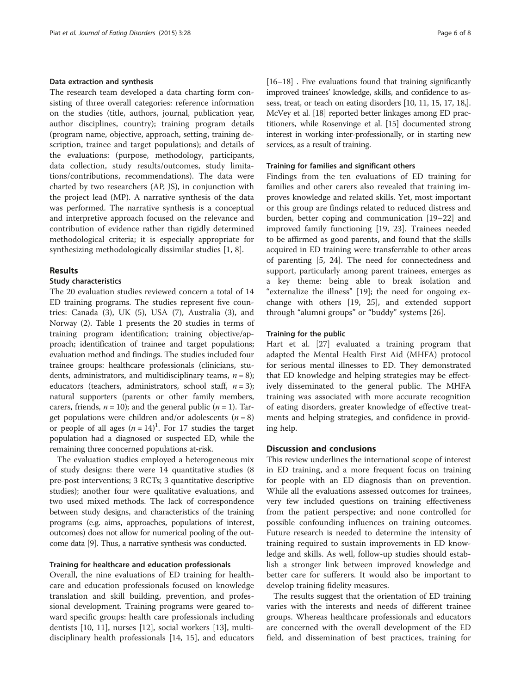#### Data extraction and synthesis

The research team developed a data charting form consisting of three overall categories: reference information on the studies (title, authors, journal, publication year, author disciplines, country); training program details (program name, objective, approach, setting, training description, trainee and target populations); and details of the evaluations: (purpose, methodology, participants, data collection, study results/outcomes, study limitations/contributions, recommendations). The data were charted by two researchers (AP, JS), in conjunction with the project lead (MP). A narrative synthesis of the data was performed. The narrative synthesis is a conceptual and interpretive approach focused on the relevance and contribution of evidence rather than rigidly determined methodological criteria; it is especially appropriate for synthesizing methodologically dissimilar studies [[1, 8\]](#page-6-0).

#### Results

# Study characteristics

The 20 evaluation studies reviewed concern a total of 14 ED training programs. The studies represent five countries: Canada (3), UK (5), USA (7), Australia (3), and Norway (2). Table [1](#page-1-0) presents the 20 studies in terms of training program identification; training objective/approach; identification of trainee and target populations; evaluation method and findings. The studies included four trainee groups: healthcare professionals (clinicians, students, administrators, and multidisciplinary teams,  $n = 8$ ); educators (teachers, administrators, school staff,  $n = 3$ ); natural supporters (parents or other family members, carers, friends,  $n = 10$ ); and the general public  $(n = 1)$ . Target populations were children and/or adolescents  $(n = 8)$ or people of all ages  $(n = 14)^1$ . For 17 studies the target population had a diagnosed or suspected ED, while the remaining three concerned populations at-risk.

The evaluation studies employed a heterogeneous mix of study designs: there were 14 quantitative studies (8 pre-post interventions; 3 RCTs; 3 quantitative descriptive studies); another four were qualitative evaluations, and two used mixed methods. The lack of correspondence between study designs, and characteristics of the training programs (e.g. aims, approaches, populations of interest, outcomes) does not allow for numerical pooling of the outcome data [[9](#page-6-0)]. Thus, a narrative synthesis was conducted.

# Training for healthcare and education professionals

Overall, the nine evaluations of ED training for healthcare and education professionals focused on knowledge translation and skill building, prevention, and professional development. Training programs were geared toward specific groups: health care professionals including dentists [\[10, 11](#page-6-0)], nurses [\[12](#page-6-0)], social workers [[13](#page-6-0)], multidisciplinary health professionals [[14](#page-6-0), [15\]](#page-6-0), and educators [[16](#page-6-0)–[18](#page-6-0)] . Five evaluations found that training significantly improved trainees' knowledge, skills, and confidence to assess, treat, or teach on eating disorders [10, 11, 15, 17, 18,]. McVey et al. [[18\]](#page-6-0) reported better linkages among ED practitioners, while Rosenvinge et al. [\[15](#page-6-0)] documented strong interest in working inter-professionally, or in starting new services, as a result of training.

#### Training for families and significant others

Findings from the ten evaluations of ED training for families and other carers also revealed that training improves knowledge and related skills. Yet, most important or this group are findings related to reduced distress and burden, better coping and communication [[19](#page-6-0)–[22](#page-6-0)] and improved family functioning [[19, 23](#page-6-0)]. Trainees needed to be affirmed as good parents, and found that the skills acquired in ED training were transferrable to other areas of parenting [[5, 24\]](#page-6-0). The need for connectedness and support, particularly among parent trainees, emerges as a key theme: being able to break isolation and "externalize the illness" [[19\]](#page-6-0); the need for ongoing exchange with others [\[19](#page-6-0), [25](#page-6-0)], and extended support through "alumni groups" or "buddy" systems [\[26](#page-7-0)].

#### Training for the public

Hart et al. [[27](#page-7-0)] evaluated a training program that adapted the Mental Health First Aid (MHFA) protocol for serious mental illnesses to ED. They demonstrated that ED knowledge and helping strategies may be effectively disseminated to the general public. The MHFA training was associated with more accurate recognition of eating disorders, greater knowledge of effective treatments and helping strategies, and confidence in providing help.

## Discussion and conclusions

This review underlines the international scope of interest in ED training, and a more frequent focus on training for people with an ED diagnosis than on prevention. While all the evaluations assessed outcomes for trainees, very few included questions on training effectiveness from the patient perspective; and none controlled for possible confounding influences on training outcomes. Future research is needed to determine the intensity of training required to sustain improvements in ED knowledge and skills. As well, follow-up studies should establish a stronger link between improved knowledge and better care for sufferers. It would also be important to develop training fidelity measures.

The results suggest that the orientation of ED training varies with the interests and needs of different trainee groups. Whereas healthcare professionals and educators are concerned with the overall development of the ED field, and dissemination of best practices, training for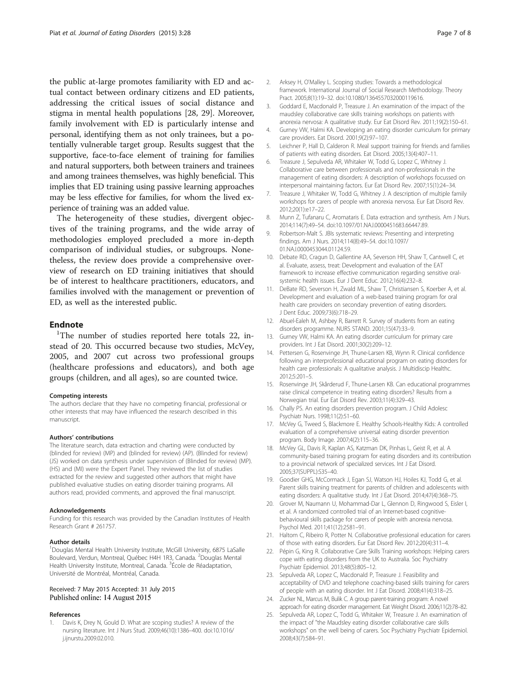<span id="page-6-0"></span>the public at-large promotes familiarity with ED and actual contact between ordinary citizens and ED patients, addressing the critical issues of social distance and stigma in mental health populations [[28](#page-7-0), [29](#page-7-0)]. Moreover, family involvement with ED is particularly intense and personal, identifying them as not only trainees, but a potentially vulnerable target group. Results suggest that the supportive, face-to-face element of training for families and natural supporters, both between trainers and trainees and among trainees themselves, was highly beneficial. This implies that ED training using passive learning approaches may be less effective for families, for whom the lived experience of training was an added value.

The heterogeneity of these studies, divergent objectives of the training programs, and the wide array of methodologies employed precluded a more in-depth comparison of individual studies, or subgroups. Nonetheless, the review does provide a comprehensive overview of research on ED training initiatives that should be of interest to healthcare practitioners, educators, and families involved with the management or prevention of ED, as well as the interested public.

### **Endnote**

<sup>1</sup>The number of studies reported here totals 22, instead of 20. This occurred because two studies, McVey, 2005, and 2007 cut across two professional groups (healthcare professions and educators), and both age groups (children, and all ages), so are counted twice.

#### Competing interests

The authors declare that they have no competing financial, professional or other interests that may have influenced the research described in this manuscript.

#### Authors' contributions

The literature search, data extraction and charting were conducted by (blinded for review) (MP) and (blinded for review) (AP). (Blinded for review) (JS) worked on data synthesis under supervision of (Blinded for review) (MP). (HS) and (MI) were the Expert Panel. They reviewed the list of studies extracted for the review and suggested other authors that might have published evaluative studies on eating disorder training programs. All authors read, provided comments, and approved the final manuscript.

#### Acknowledgements

Funding for this research was provided by the Canadian Institutes of Health Research Grant # 261757.

#### Author details

<sup>1</sup>Douglas Mental Health University Institute, McGill University, 6875 LaSalle Boulevard, Verdun, Montreal, Québec H4H 1R3, Canada. <sup>2</sup>Douglas Mental Health University Institute, Montreal, Canada. <sup>3</sup>École de Réadaptation, Université de Montréal, Montréal, Canada.

### Received: 7 May 2015 Accepted: 31 July 2015 Published online: 14 August 2015

#### References

1. Davis K, Drey N, Gould D. What are scoping studies? A review of the nursing literature. Int J Nurs Stud. 2009;46(10):1386–400. doi:[10.1016/](http://dx.doi.org/10.1016/j.ijnurstu.2009.02.010) [j.ijnurstu.2009.02.010.](http://dx.doi.org/10.1016/j.ijnurstu.2009.02.010)

- 2. Arksey H, O'Malley L. Scoping studies: Towards a methodological framework. International Journal of Social Research Methodology. Theory Pract. 2005;8(1):19–32. doi:[10.1080/1364557032000119616](http://dx.doi.org/10.1080/1364557032000119616).
- 3. Goddard E, Macdonald P, Treasure J. An examination of the impact of the maudsley collaborative care skills training workshops on patients with anorexia nervosa: A qualitative study. Eur Eat Disord Rev. 2011;19(2):150–61.
- 4. Gurney VW, Halmi KA. Developing an eating disorder curriculum for primary care providers. Eat Disord. 2001;9(2):97–107.
- 5. Leichner P, Hall D, Calderon R. Meal support training for friends and families of patients with eating disorders. Eat Disord. 2005;13(4):407–11.
- 6. Treasure J, Sepulveda AR, Whitaker W, Todd G, Lopez C, Whitney J. Collaborative care between professionals and non-professionals in the management of eating disorders: A description of workshops focussed on interpersonal maintaining factors. Eur Eat Disord Rev. 2007;15(1):24–34.
- 7. Treasure J, Whitaker W, Todd G, Whitney J. A description of multiple family workshops for carers of people with anorexia nervosa. Eur Eat Disord Rev. 2012;20(1):e17–22.
- 8. Munn Z, Tufanaru C, Aromataris E. Data extraction and synthesis. Am J Nurs. 2014;114(7):49–54. doi:[10.1097/01.NAJ.0000451683.66447.89.](http://dx.doi.org/10.1097/01.NAJ.0000451683.66447.89)
- 9. Robertson-Malt S. JBIs systematic reviews: Presenting and interpreting findings. Am J Nurs. 2014;114(8):49–54. doi:[10.1097/](http://dx.doi.org/10.1097/01.NAJ.0000453044.01124.59) [01.NAJ.0000453044.01124.59](http://dx.doi.org/10.1097/01.NAJ.0000453044.01124.59).
- 10. Debate RD, Cragun D, Gallentine AA, Severson HH, Shaw T, Cantwell C, et al. Evaluate, assess, treat: Development and evaluation of the EAT framework to increase effective communication regarding sensitive oralsystemic health issues. Eur J Dent Educ. 2012;16(4):232–8.
- 11. DeBate RD, Severson H, Zwald ML, Shaw T, Christiansen S, Koerber A, et al. Development and evaluation of a web-based training program for oral health care providers on secondary prevention of eating disorders. J Dent Educ. 2009;73(6):718–29.
- 12. Abuel-Ealeh M, Ashbey R, Barrett R. Survey of students from an eating disorders programme. NURS STAND. 2001;15(47):33–9.
- 13. Gurney VW, Halmi KA. An eating disorder curriculum for primary care providers. Int J Eat Disord. 2001;30(2):209–12.
- 14. Pettersen G, Rosenvinge JH, Thune-Larsen KB, Wynn R. Clinical confidence following an interprofessional educational program on eating disorders for health care professionals: A qualitative analysis. J Multidiscip Healthc. 2012;5:201–5.
- 15. Rosenvinge JH, Skårderud F, Thune-Larsen KB. Can educational programmes raise clinical competence in treating eating disorders? Results from a Norwegian trial. Eur Eat Disord Rev. 2003;11(4):329–43.
- 16. Chally PS. An eating disorders prevention program. J Child Adolesc Psychiatr Nurs. 1998;11(2):51–60.
- 17. McVey G, Tweed S, Blackmore E. Healthy Schools-Healthy Kids: A controlled evaluation of a comprehensive universal eating disorder prevention program. Body Image. 2007;4(2):115–36.
- 18. McVey GL, Davis R, Kaplan AS, Katzman DK, Pinhas L, Geist R, et al. A community-based training program for eating disorders and its contribution to a provincial network of specialized services. Int J Eat Disord. 2005;37(SUPPL):S35–40.
- 19. Goodier GHG, McCormack J, Egan SJ, Watson HJ, Hoiles KJ, Todd G, et al. Parent skills training treatment for parents of children and adolescents with eating disorders: A qualitative study. Int J Eat Disord. 2014;47(4):368–75.
- 20. Grover M, Naumann U, Mohammad-Dar L, Glennon D, Ringwood S, Eisler I, et al. A randomized controlled trial of an Internet-based cognitivebehavioural skills package for carers of people with anorexia nervosa. Psychol Med. 2011;41(12):2581–91.
- 21. Haltom C, Ribeiro R, Potter N. Collaborative professional education for carers of those with eating disorders. Eur Eat Disord Rev. 2012;20(4):311–4.
- 22. Pépin G, King R. Collaborative Care Skills Training workshops: Helping carers cope with eating disorders from the UK to Australia. Soc Psychiatry Psychiatr Epidemiol. 2013;48(5):805–12.
- 23. Sepulveda AR, Lopez C, Macdonald P, Treasure J. Feasibility and acceptability of DVD and telephone coaching-based skills training for carers of people with an eating disorder. Int J Eat Disord. 2008;41(4):318–25.
- 24. Zucker NL, Marcus M, Bulik C. A group parent-training program: A novel approach for eating disorder management. Eat Weight Disord. 2006;11(2):78–82.
- 25. Sepulveda AR, Lopez C, Todd G, Whitaker W, Treasure J. An examination of the impact of "the Maudsley eating disorder collaborative care skills workshops" on the well being of carers. Soc Psychiatry Psychiatr Epidemiol. 2008;43(7):584–91.